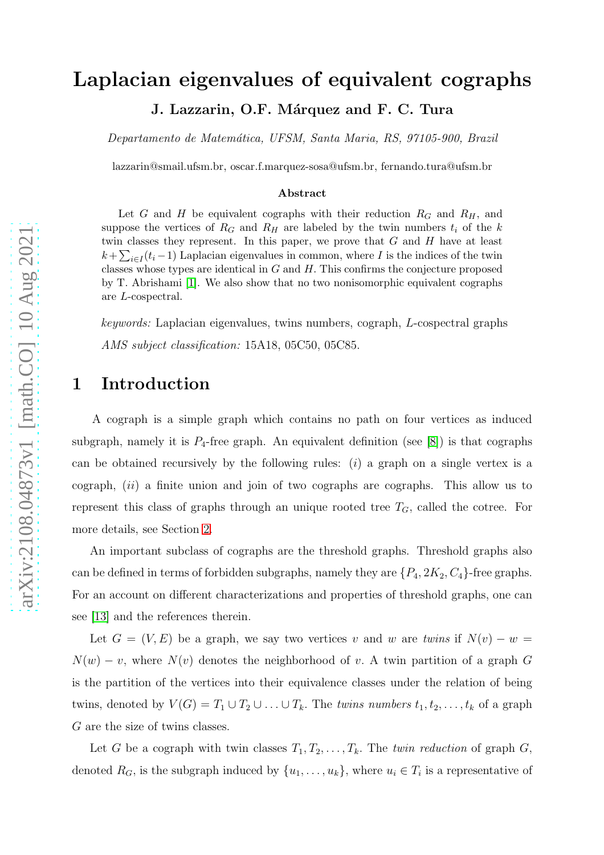# Laplacian eigenvalues of equivalent cographs

J. Lazzarin, O.F. Márquez and F. C. Tura

*Departamento de Matem´atica, UFSM, Santa Maria, RS, 97105-900, Brazil*

lazzarin@smail.ufsm.br, oscar.f.marquez-sosa@ufsm.br, fernando.tura@ufsm.br

#### Abstract

Let G and H be equivalent cographs with their reduction  $R_G$  and  $R_H$ , and suppose the vertices of  $R_G$  and  $R_H$  are labeled by the twin numbers  $t_i$  of the k twin classes they represent. In this paper, we prove that  $G$  and  $H$  have at least  $k + \sum_{i \in I} (t_i - 1)$  Laplacian eigenvalues in common, where I is the indices of the twin classes whose types are identical in  $G$  and  $H$ . This confirms the conjecture proposed by T. Abrishami [\[1\]](#page-12-0). We also show that no two nonisomorphic equivalent cographs are L-cospectral.

*keywords:* Laplacian eigenvalues, twins numbers, cograph, L-cospectral graphs *AMS subject classification:* 15A18, 05C50, 05C85.

# 1 Introduction

A cograph is a simple graph which contains no path on four vertices as induced subgraph, namely it is  $P_4$ -free graph. An equivalent definition (see [\[8\]](#page-13-0)) is that cographs can be obtained recursively by the following rules:  $(i)$  a graph on a single vertex is a cograph, (ii) a finite union and join of two cographs are cographs. This allow us to represent this class of graphs through an unique rooted tree  $T_G$ , called the cotree. For more details, see Section [2.](#page-2-0)

An important subclass of cographs are the threshold graphs. Threshold graphs also can be defined in terms of forbidden subgraphs, namely they are  $\{P_4, 2K_2, C_4\}$ -free graphs. For an account on different characterizations and properties of threshold graphs, one can see [\[13\]](#page-13-1) and the references therein.

Let  $G = (V, E)$  be a graph, we say two vertices v and w are *twins* if  $N(v) - w =$  $N(w) - v$ , where  $N(v)$  denotes the neighborhood of v. A twin partition of a graph G is the partition of the vertices into their equivalence classes under the relation of being twins, denoted by  $V(G) = T_1 \cup T_2 \cup \ldots \cup T_k$ . The *twins numbers*  $t_1, t_2, \ldots, t_k$  of a graph G are the size of twins classes.

Let G be a cograph with twin classes  $T_1, T_2, \ldots, T_k$ . The *twin reduction* of graph G, denoted  $R_G$ , is the subgraph induced by  $\{u_1, \ldots, u_k\}$ , where  $u_i \in T_i$  is a representative of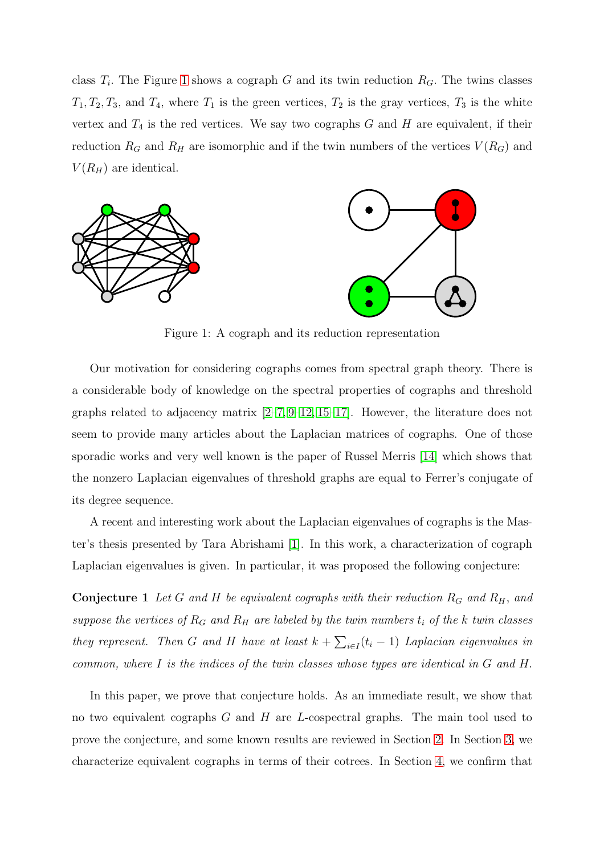class  $T_i$ . The Figure [1](#page-1-0) shows a cograph G and its twin reduction  $R_G$ . The twins classes  $T_1, T_2, T_3$ , and  $T_4$ , where  $T_1$  is the green vertices,  $T_2$  is the gray vertices,  $T_3$  is the white vertex and  $T_4$  is the red vertices. We say two cographs G and H are equivalent, if their reduction  $R_G$  and  $R_H$  are isomorphic and if the twin numbers of the vertices  $V(R_G)$  and  $V(R_H)$  are identical.





<span id="page-1-0"></span>Figure 1: A cograph and its reduction representation

Our motivation for considering cographs comes from spectral graph theory. There is a considerable body of knowledge on the spectral properties of cographs and threshold graphs related to adjacency matrix  $[2-7, 9-12, 15-17]$  $[2-7, 9-12, 15-17]$  $[2-7, 9-12, 15-17]$  $[2-7, 9-12, 15-17]$  $[2-7, 9-12, 15-17]$  $[2-7, 9-12, 15-17]$ . However, the literature does not seem to provide many articles about the Laplacian matrices of cographs. One of those sporadic works and very well known is the paper of Russel Merris [\[14\]](#page-13-7) which shows that the nonzero Laplacian eigenvalues of threshold graphs are equal to Ferrer's conjugate of its degree sequence.

A recent and interesting work about the Laplacian eigenvalues of cographs is the Master's thesis presented by Tara Abrishami [\[1\]](#page-12-0). In this work, a characterization of cograph Laplacian eigenvalues is given. In particular, it was proposed the following conjecture:

**Conjecture 1** Let G and H be equivalent cographs with their reduction  $R_G$  and  $R_H$ , and *suppose the vertices of*  $R_G$  *and*  $R_H$  *are labeled by the twin numbers*  $t_i$  *of the* k *twin classes they represent.* Then G and H have at least  $k + \sum_{i \in I} (t_i - 1)$  Laplacian eigenvalues in *common, where* I *is the indices of the twin classes whose types are identical in* G *and* H.

In this paper, we prove that conjecture holds. As an immediate result, we show that no two equivalent cographs  $G$  and  $H$  are  $L$ -cospectral graphs. The main tool used to prove the conjecture, and some known results are reviewed in Section [2.](#page-2-0) In Section [3,](#page-5-0) we characterize equivalent cographs in terms of their cotrees. In Section [4,](#page-7-0) we confirm that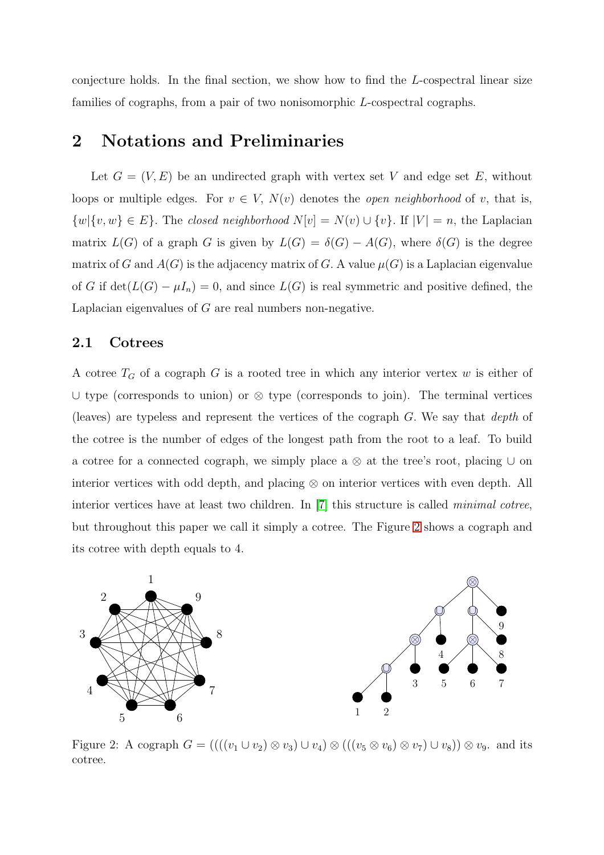conjecture holds. In the final section, we show how to find the L-cospectral linear size families of cographs, from a pair of two nonisomorphic L-cospectral cographs.

#### <span id="page-2-0"></span>2 Notations and Preliminaries

Let  $G = (V, E)$  be an undirected graph with vertex set V and edge set E, without loops or multiple edges. For  $v \in V$ ,  $N(v)$  denotes the *open neighborhood* of v, that is,  ${w}{v, w} \in E$ . The *closed neighborhood*  $N[v] = N(v) \cup {v}$ . If  $|V| = n$ , the Laplacian matrix  $L(G)$  of a graph G is given by  $L(G) = \delta(G) - A(G)$ , where  $\delta(G)$  is the degree matrix of G and  $A(G)$  is the adjacency matrix of G. A value  $\mu(G)$  is a Laplacian eigenvalue of G if  $\det(L(G) - \mu I_n) = 0$ , and since  $L(G)$  is real symmetric and positive defined, the Laplacian eigenvalues of G are real numbers non-negative.

#### 2.1 Cotrees

A cotree  $T_G$  of a cograph G is a rooted tree in which any interior vertex w is either of ∪ type (corresponds to union) or ⊗ type (corresponds to join). The terminal vertices (leaves) are typeless and represent the vertices of the cograph G. We say that *depth* of the cotree is the number of edges of the longest path from the root to a leaf. To build a cotree for a connected cograph, we simply place a ⊗ at the tree's root, placing ∪ on interior vertices with odd depth, and placing ⊗ on interior vertices with even depth. All interior vertices have at least two children. In [\[7\]](#page-13-2) this structure is called *minimal cotree*, but throughout this paper we call it simply a cotree. The Figure [2](#page-2-1) shows a cograph and its cotree with depth equals to 4.



<span id="page-2-1"></span>Figure 2: A cograph  $G = (((v_1 \cup v_2) \otimes v_3) \cup v_4) \otimes (((v_5 \otimes v_6) \otimes v_7) \cup v_8)) \otimes v_9$ . and its cotree.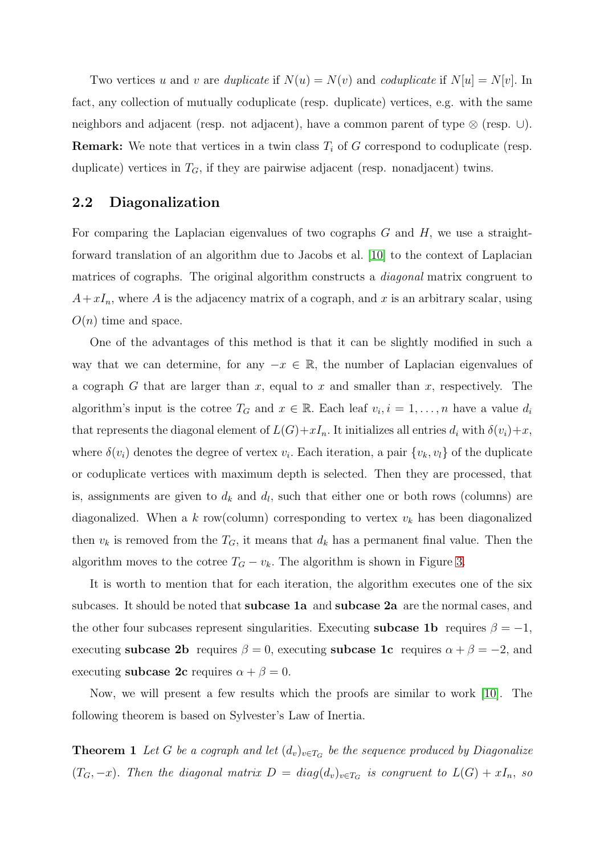Two vertices u and v are *duplicate* if  $N(u) = N(v)$  and *coduplicate* if  $N[u] = N[v]$ . In fact, any collection of mutually coduplicate (resp. duplicate) vertices, e.g. with the same neighbors and adjacent (resp. not adjacent), have a common parent of type ⊗ (resp. ∪). **Remark:** We note that vertices in a twin class  $T_i$  of G correspond to coduplicate (resp. duplicate) vertices in  $T_G$ , if they are pairwise adjacent (resp. nonadjacent) twins.

#### 2.2 Diagonalization

For comparing the Laplacian eigenvalues of two cographs  $G$  and  $H$ , we use a straightforward translation of an algorithm due to Jacobs et al. [\[10\]](#page-13-8) to the context of Laplacian matrices of cographs. The original algorithm constructs a *diagonal* matrix congruent to  $A+xI_n$ , where A is the adjacency matrix of a cograph, and x is an arbitrary scalar, using  $O(n)$  time and space.

One of the advantages of this method is that it can be slightly modified in such a way that we can determine, for any  $-x \in \mathbb{R}$ , the number of Laplacian eigenvalues of a cograph G that are larger than x, equal to x and smaller than x, respectively. The algorithm's input is the cotree  $T_G$  and  $x \in \mathbb{R}$ . Each leaf  $v_i, i = 1, \ldots, n$  have a value  $d_i$ that represents the diagonal element of  $L(G)+xI_n$ . It initializes all entries  $d_i$  with  $\delta(v_i)+x$ , where  $\delta(v_i)$  denotes the degree of vertex  $v_i$ . Each iteration, a pair  $\{v_k, v_l\}$  of the duplicate or coduplicate vertices with maximum depth is selected. Then they are processed, that is, assignments are given to  $d_k$  and  $d_l$ , such that either one or both rows (columns) are diagonalized. When a k row(column) corresponding to vertex  $v_k$  has been diagonalized then  $v_k$  is removed from the  $T_G$ , it means that  $d_k$  has a permanent final value. Then the algorithm moves to the cotree  $T_G - v_k$ . The algorithm is shown in Figure [3.](#page-4-0)

It is worth to mention that for each iteration, the algorithm executes one of the six subcases. It should be noted that subcase 1a and subcase 2a are the normal cases, and the other four subcases represent singularities. Executing **subcase 1b** requires  $\beta = -1$ , executing subcase 2b requires  $\beta = 0$ , executing subcase 1c requires  $\alpha + \beta = -2$ , and executing **subcase 2c** requires  $\alpha + \beta = 0$ .

Now, we will present a few results which the proofs are similar to work [\[10\]](#page-13-8). The following theorem is based on Sylvester's Law of Inertia.

**Theorem 1** Let G be a cograph and let  $(d_v)_{v \in T_G}$  be the sequence produced by Diagonalize  $(T_G, -x)$ . Then the diagonal matrix  $D = diag(d_v)_{v \in T_G}$  is congruent to  $L(G) + xI_n$ , so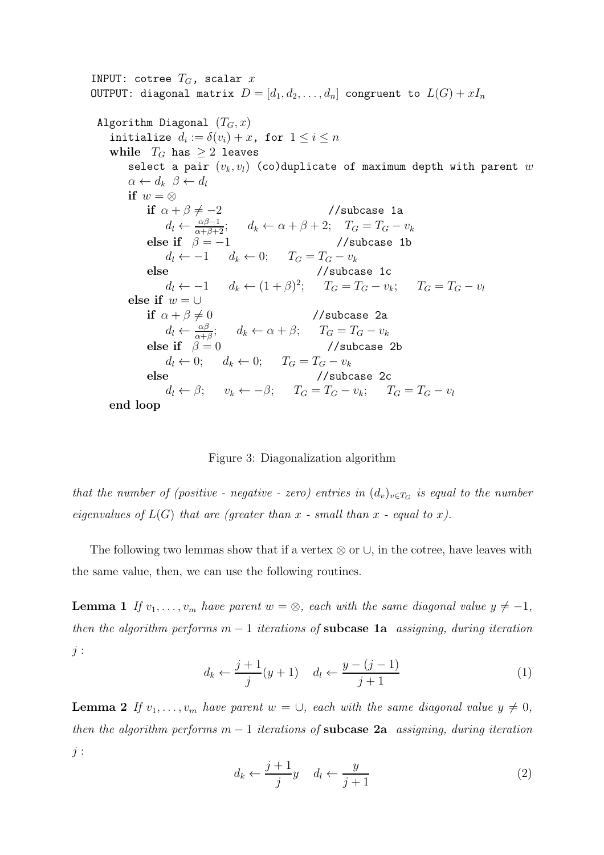INPUT: cotree  $T_G$ , scalar x OUTPUT: diagonal matrix  $D = [d_1, d_2, \ldots, d_n]$  congruent to  $L(G) + xI_n$ Algorithm Diagonal  $(T_G, x)$ initialize  $d_i := \delta(v_i) + x$ , for  $1 \leq i \leq n$ while  $T_G$  has  $\geq 2$  leaves select a pair  $(v_k, v_l)$  (co)duplicate of maximum depth with parent  $w$  $\alpha \leftarrow d_k \ \beta \leftarrow d_l$ if  $w = \otimes$ if  $\alpha + \beta \neq -2$  //subcase 1a  $d_l \leftarrow \frac{\alpha \beta - 1}{\alpha + \beta + 2}; \quad d_k \leftarrow \alpha + \beta + 2; \quad T_G = T_G - v_k$ else if  $\beta = -1$  //subcase 1b  $d_l \leftarrow -1 \qquad d_k \leftarrow 0; \qquad T_G = T_G - v_k$ else //subcase 1c  $d_l \leftarrow -1 \quad d_k \leftarrow (1+\beta)^2; \quad T_G = T_G - v_k; \quad T_G = T_G - v_l$ else if  $w = \cup$ if  $\alpha + \beta \neq 0$  //subcase 2a  $d_l \leftarrow \frac{\alpha \beta}{\alpha + \beta}; \quad d_k \leftarrow \alpha + \beta; \quad T_G = T_G - v_k$ else if  $\beta = 0$  //subcase 2b d<sub>l</sub> ← 0; d<sub>k</sub> ← 0;  $T_G = T_G - v_k$ <br>se //subcase 2c else //subcase 2c  $d_l \leftarrow \beta; \quad v_k \leftarrow -\beta; \quad T_G = T_G - v_k; \quad T_G = T_G - v_l$ end loop

<span id="page-4-0"></span>Figure 3: Diagonalization algorithm

*that the number of (positive - negative - zero) entries in*  $(d_v)_{v \in T_G}$  *is equal to the number eigenvalues of*  $L(G)$  *that are (greater than*  $x$  *- small than*  $x$  *- equal to*  $x$ *).* 

<span id="page-4-1"></span>The following two lemmas show that if a vertex  $\otimes$  or  $\cup$ , in the cotree, have leaves with the same value, then, we can use the following routines.

**Lemma 1** *If*  $v_1, \ldots, v_m$  *have parent*  $w = \otimes$ *, each with the same diagonal value*  $y \neq -1$ *, then the algorithm performs* m − 1 *iterations of* subcase 1a *assigning, during iteration*  $i$ :

$$
d_k \leftarrow \frac{j+1}{j}(y+1) \quad d_l \leftarrow \frac{y-(j-1)}{j+1} \tag{1}
$$

<span id="page-4-2"></span>**Lemma 2** *If*  $v_1, \ldots, v_m$  *have parent*  $w = \bigcup$ , *each with the same diagonal value*  $y \neq 0$ , *then the algorithm performs* m − 1 *iterations of* subcase 2a *assigning, during iteration* j :

$$
d_k \leftarrow \frac{j+1}{j}y \quad d_l \leftarrow \frac{y}{j+1} \tag{2}
$$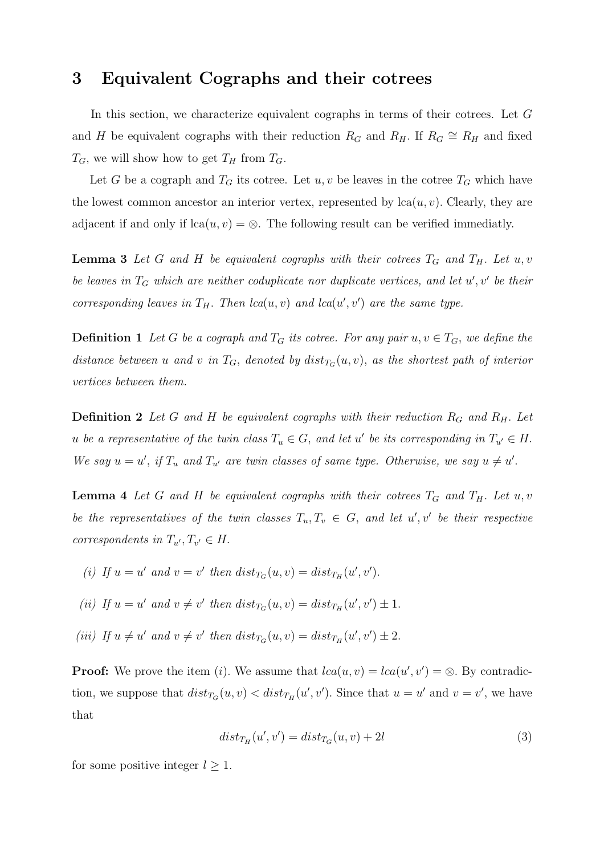#### <span id="page-5-0"></span>3 Equivalent Cographs and their cotrees

In this section, we characterize equivalent cographs in terms of their cotrees. Let G and H be equivalent cographs with their reduction  $R_G$  and  $R_H$ . If  $R_G \cong R_H$  and fixed  $T_G$ , we will show how to get  $T_H$  from  $T_G$ .

Let G be a cograph and  $T_G$  its cotree. Let  $u, v$  be leaves in the cotree  $T_G$  which have the lowest common ancestor an interior vertex, represented by  $lca(u, v)$ . Clearly, they are adjacent if and only if  $lca(u, v) = \otimes$ . The following result can be verified immediatly.

**Lemma 3** Let G and H be equivalent cographs with their cotrees  $T_G$  and  $T_H$ . Let u, v be leaves in  $T_G$  which are neither coduplicate nor duplicate vertices, and let  $u'$ ,  $v'$  be their *corresponding leaves in*  $T_H$ . *Then lca*( $u$ ,  $v$ ) *and lca*( $u'$ ,  $v'$ ) *are the same type.* 

**Definition 1** Let G be a cograph and  $T_G$  its cotree. For any pair  $u, v \in T_G$ , we define the distance between u and v in  $T_G$ , denoted by  $dist_{T_G}(u, v)$ , as the shortest path of interior *vertices between them.*

**Definition 2** Let G and H be equivalent cographs with their reduction  $R_G$  and  $R_H$ . Let *u be a representative of the twin class*  $T_u \in G$ , and let u' *be its corresponding in*  $T_{u'} \in H$ . We say  $u = u'$ , if  $T_u$  and  $T_{u'}$  are twin classes of same type. Otherwise, we say  $u \neq u'$ .

<span id="page-5-2"></span>**Lemma 4** Let G and H be equivalent cographs with their cotrees  $T_G$  and  $T_H$ . Let u, v *be the representatives of the twin classes*  $T_u, T_v \in G$ , and let  $u', v'$  be their respective *correspondents in*  $T_{u'}$ ,  $T_{v'} \in H$ .

- (i) If  $u = u'$  and  $v = v'$  then  $dist_{T_G}(u, v) = dist_{T_H}(u', v')$ .
- (*ii*) If  $u = u'$  and  $v \neq v'$  then  $dist_{T_G}(u, v) = dist_{T_H}(u', v') \pm 1$ .
- (*iii*) If  $u \neq u'$  and  $v \neq v'$  then  $dist_{T_G}(u, v) = dist_{T_H}(u', v') \pm 2$ .

**Proof:** We prove the item (*i*). We assume that  $lca(u, v) = lca(u', v') = \otimes$ . By contradiction, we suppose that  $dist_{T_G}(u, v) < dist_{T_H}(u', v')$ . Since that  $u = u'$  and  $v = v'$ , we have that

<span id="page-5-1"></span>
$$
dist_{T_H}(u',v') = dist_{T_G}(u,v) + 2l \tag{3}
$$

for some positive integer  $l \geq 1$ .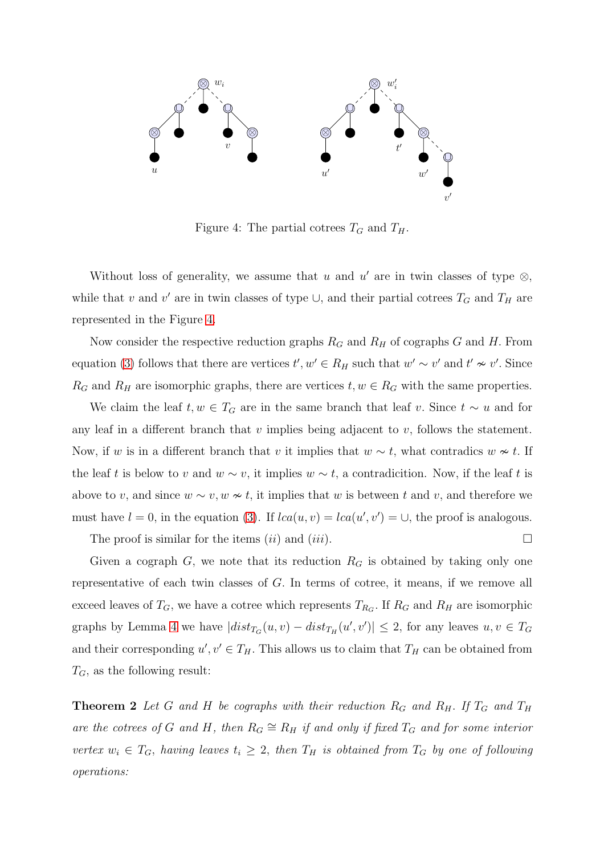

<span id="page-6-0"></span>Figure 4: The partial cotrees  $T_G$  and  $T_H$ .

Without loss of generality, we assume that u and u' are in twin classes of type  $\otimes$ , while that v and v' are in twin classes of type  $\cup$ , and their partial cotrees  $T_G$  and  $T_H$  are represented in the Figure [4.](#page-6-0)

Now consider the respective reduction graphs  $R_G$  and  $R_H$  of cographs G and H. From equation [\(3\)](#page-5-1) follows that there are vertices  $t', w' \in R_H$  such that  $w' \sim v'$  and  $t' \nsim v'$ . Since  $R_G$  and  $R_H$  are isomorphic graphs, there are vertices  $t, w \in R_G$  with the same properties.

We claim the leaf  $t, w \in T_G$  are in the same branch that leaf v. Since  $t \sim u$  and for any leaf in a different branch that  $v$  implies being adjacent to  $v$ , follows the statement. Now, if w is in a different branch that v it implies that  $w \sim t$ , what contradics  $w \sim t$ . If the leaf t is below to v and  $w \sim v$ , it implies  $w \sim t$ , a contradicition. Now, if the leaf t is above to v, and since  $w \sim v, w \nsim t$ , it implies that w is between t and v, and therefore we must have  $l = 0$ , in the equation [\(3\)](#page-5-1). If  $lca(u, v) = lca(u', v') = \cup$ , the proof is analogous.

The proof is similar for the items  $(ii)$  and  $(iii)$ .

Given a cograph G, we note that its reduction  $R_G$  is obtained by taking only one representative of each twin classes of G. In terms of cotree, it means, if we remove all exceed leaves of  $T_G$ , we have a cotree which represents  $T_{R_G}$ . If  $R_G$  and  $R_H$  are isomorphic graphs by Lemma [4](#page-5-2) we have  $|dist_{T_G}(u, v) - dist_{T_H}(u', v')| \leq 2$ , for any leaves  $u, v \in T_G$ and their corresponding  $u', v' \in T_H$ . This allows us to claim that  $T_H$  can be obtained from  $T_G$ , as the following result:

**Theorem 2** Let G and H be cographs with their reduction  $R_G$  and  $R_H$ . If  $T_G$  and  $T_H$ are the cotrees of G and H, then  $R_G \cong R_H$  *if and only if fixed*  $T_G$  *and for some interior vertex*  $w_i \in T_G$ , *having leaves*  $t_i \geq 2$ , *then*  $T_H$  *is obtained from*  $T_G$  *by one of following operations:*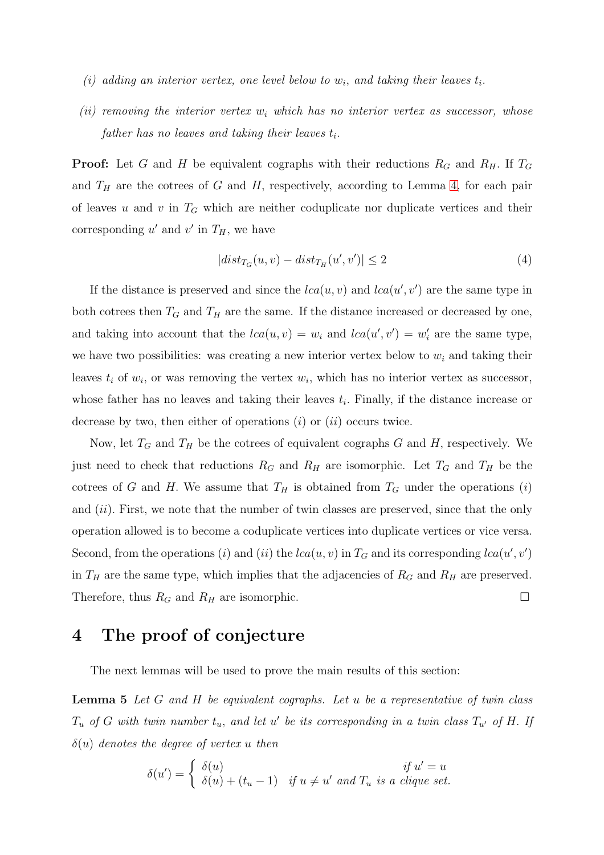- $(i)$  adding an interior vertex, one level below to  $w_i$ , and taking their leaves  $t_i$ .
- $(ii)$  removing the interior vertex  $w_i$  which has no interior vertex as successor, whose  $\emph{father has no leaves and taking their leaves $t_i$}.$

**Proof:** Let G and H be equivalent cographs with their reductions  $R_G$  and  $R_H$ . If  $T_G$ and  $T_H$  are the cotrees of G and H, respectively, according to Lemma [4,](#page-5-2) for each pair of leaves u and v in  $T_G$  which are neither coduplicate nor duplicate vertices and their corresponding  $u'$  and  $v'$  in  $T_H$ , we have

$$
|dist_{T_G}(u, v) - dist_{T_H}(u', v')| \le 2
$$
\n<sup>(4)</sup>

If the distance is preserved and since the  $lca(u, v)$  and  $lca(u', v')$  are the same type in both cotrees then  $T_G$  and  $T_H$  are the same. If the distance increased or decreased by one, and taking into account that the  $lca(u, v) = w_i$  and  $lca(u', v') = w'_i$  are the same type, we have two possibilities: was creating a new interior vertex below to  $w_i$  and taking their leaves  $t_i$  of  $w_i$ , or was removing the vertex  $w_i$ , which has no interior vertex as successor, whose father has no leaves and taking their leaves  $t_i$ . Finally, if the distance increase or decrease by two, then either of operations  $(i)$  or  $(ii)$  occurs twice.

Now, let  $T_G$  and  $T_H$  be the cotrees of equivalent cographs G and H, respectively. We just need to check that reductions  $R_G$  and  $R_H$  are isomorphic. Let  $T_G$  and  $T_H$  be the cotrees of G and H. We assume that  $T_H$  is obtained from  $T_G$  under the operations (i) and  $(ii)$ . First, we note that the number of twin classes are preserved, since that the only operation allowed is to become a coduplicate vertices into duplicate vertices or vice versa. Second, from the operations (*i*) and (*ii*) the  $lca(u, v)$  in  $T_G$  and its corresponding  $lca(u', v')$ in  $T_H$  are the same type, which implies that the adjacencies of  $R_G$  and  $R_H$  are preserved. Therefore, thus  $R_G$  and  $R_H$  are isomorphic.

#### <span id="page-7-0"></span>4 The proof of conjecture

The next lemmas will be used to prove the main results of this section:

Lemma 5 *Let* G *and* H *be equivalent cographs. Let* u *be a representative of twin class*  $T_u$  *of* G with twin number  $t_u$ , and let  $u'$  be its corresponding in a twin class  $T_{u'}$  *of* H. If δ(u) *denotes the degree of vertex* u *then*

<span id="page-7-1"></span>
$$
\delta(u') = \begin{cases} \delta(u) & \text{if } u' = u \\ \delta(u) + (t_u - 1) & \text{if } u \neq u' \text{ and } T_u \text{ is a clique set.} \end{cases}
$$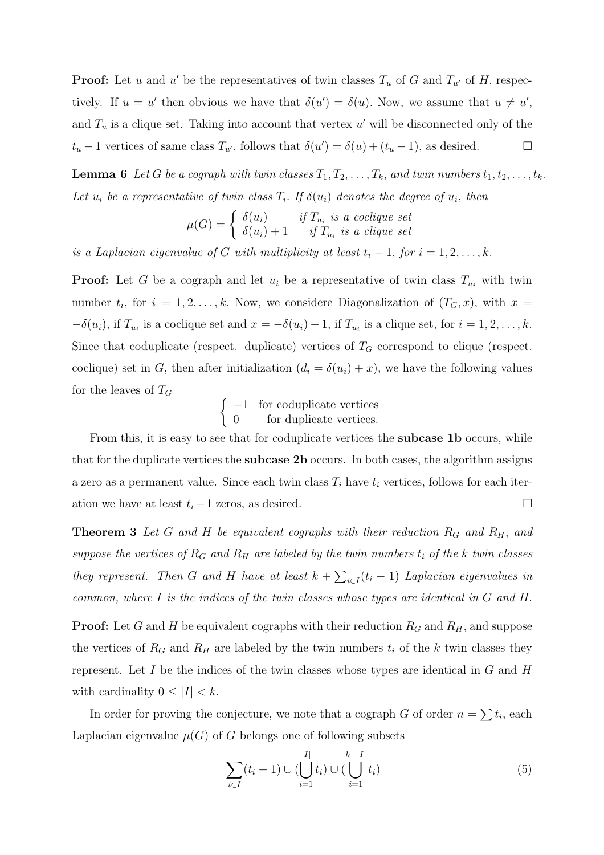**Proof:** Let u and u' be the representatives of twin classes  $T_u$  of G and  $T_{u'}$  of H, respectively. If  $u = u'$  then obvious we have that  $\delta(u') = \delta(u)$ . Now, we assume that  $u \neq u'$ , and  $T_u$  is a clique set. Taking into account that vertex  $u'$  will be disconnected only of the  $t_u$  − 1 vertices of same class  $T_{u'}$ , follows that  $\delta(u') = \delta(u) + (t_u - 1)$ , as desired.  $\Box$ 

<span id="page-8-0"></span>**Lemma 6** Let G be a cograph with twin classes  $T_1, T_2, \ldots, T_k$ , and twin numbers  $t_1, t_2, \ldots, t_k$ . Let  $u_i$  be a representative of twin class  $T_i$ . If  $\delta(u_i)$  denotes the degree of  $u_i$ , then

$$
\mu(G) = \begin{cases} \delta(u_i) & \text{if } T_{u_i} \text{ is a coclique set} \\ \delta(u_i) + 1 & \text{if } T_{u_i} \text{ is a clique set} \end{cases}
$$

*is a Laplacian eigenvalue of* G *with multiplicity at least*  $t_i - 1$ , *for*  $i = 1, 2, \ldots, k$ .

**Proof:** Let G be a cograph and let  $u_i$  be a representative of twin class  $T_{u_i}$  with twin number  $t_i$ , for  $i = 1, 2, \ldots, k$ . Now, we considere Diagonalization of  $(T_G, x)$ , with  $x =$  $-\delta(u_i)$ , if  $T_{u_i}$  is a coclique set and  $x = -\delta(u_i) - 1$ , if  $T_{u_i}$  is a clique set, for  $i = 1, 2, \ldots, k$ . Since that coduplicate (respect. duplicate) vertices of  $T_G$  correspond to clique (respect. coclique) set in G, then after initialization  $(d_i = \delta(u_i) + x)$ , we have the following values for the leaves of  $T_G$ 

$$
\begin{cases}\n-1 & \text{for coduplicate vertices} \\
0 & \text{for duplicate vertices.}\n\end{cases}
$$

From this, it is easy to see that for coduplicate vertices the **subcase 1b** occurs, while that for the duplicate vertices the subcase 2b occurs. In both cases, the algorithm assigns a zero as a permanent value. Since each twin class  $T_i$  have  $t_i$  vertices, follows for each iteration we have at least  $t_i - 1$  zeros, as desired.  $□$ 

**Theorem 3** Let G and H be equivalent cographs with their reduction  $R_G$  and  $R_H$ , and *suppose the vertices of*  $R_G$  *and*  $R_H$  *are labeled by the twin numbers*  $t_i$  *of the* k *twin classes they represent.* Then G and H have at least  $k + \sum_{i \in I} (t_i - 1)$  Laplacian eigenvalues in *common, where* I *is the indices of the twin classes whose types are identical in* G *and* H.

**Proof:** Let G and H be equivalent cographs with their reduction  $R_G$  and  $R_H$ , and suppose the vertices of  $R_G$  and  $R_H$  are labeled by the twin numbers  $t_i$  of the k twin classes they represent. Let  $I$  be the indices of the twin classes whose types are identical in  $G$  and  $H$ with cardinality  $0 \leq |I| < k$ .

In order for proving the conjecture, we note that a cograph G of order  $n = \sum t_i$ , each Laplacian eigenvalue  $\mu(G)$  of G belongs one of following subsets

$$
\sum_{i \in I} (t_i - 1) \cup (\bigcup_{i=1}^{|I|} t_i) \cup (\bigcup_{i=1}^{k-|I|} t_i)
$$
\n(5)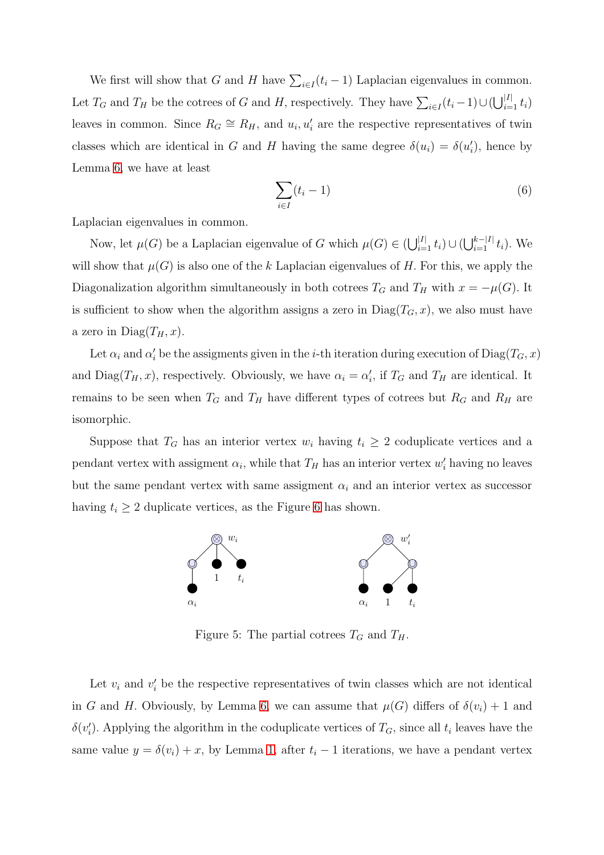We first will show that G and H have  $\sum_{i \in I} (t_i - 1)$  Laplacian eigenvalues in common. Let  $T_G$  and  $T_H$  be the cotrees of G and H, respectively. They have  $\sum_{i \in I} (t_i - 1) \cup (\bigcup_{i=1}^{|I|} t_i)$ leaves in common. Since  $R_G \cong R_H$ , and  $u_i, u'_i$  are the respective representatives of twin classes which are identical in G and H having the same degree  $\delta(u_i) = \delta(u'_i)$ , hence by Lemma [6,](#page-8-0) we have at least

$$
\sum_{i \in I} (t_i - 1) \tag{6}
$$

Laplacian eigenvalues in common.

Now, let  $\mu(G)$  be a Laplacian eigenvalue of G which  $\mu(G) \in (\bigcup_{i=1}^{|I|} t_i) \cup (\bigcup_{i=1}^{k-|I|} t_i)$ . We will show that  $\mu(G)$  is also one of the k Laplacian eigenvalues of H. For this, we apply the Diagonalization algorithm simultaneously in both cotrees  $T_G$  and  $T_H$  with  $x = -\mu(G)$ . It is sufficient to show when the algorithm assigns a zero in  $Diag(T<sub>G</sub>, x)$ , we also must have a zero in  $Diag(T_H, x)$ .

Let  $\alpha_i$  and  $\alpha'_i$  be the assigments given in the *i*-th iteration during execution of  $Diag(T_G, x)$ and  $Diag(T_H, x)$ , respectively. Obviously, we have  $\alpha_i = \alpha'_i$ , if  $T_G$  and  $T_H$  are identical. It remains to be seen when  $T_G$  and  $T_H$  have different types of cotrees but  $R_G$  and  $R_H$  are isomorphic.

Suppose that  $T_G$  has an interior vertex  $w_i$  having  $t_i \geq 2$  coduplicate vertices and a pendant vertex with assigment  $\alpha_i$ , while that  $T_H$  has an interior vertex  $w'_i$  having no leaves but the same pendant vertex with same assigment  $\alpha_i$  and an interior vertex as successor having  $t_i \geq 2$  duplicate vertices, as the Figure [6](#page-11-0) has shown.



Figure 5: The partial cotrees  $T_G$  and  $T_H$ .

Let  $v_i$  and  $v'_i$  be the respective representatives of twin classes which are not identical in G and H. Obviously, by Lemma [6,](#page-8-0) we can assume that  $\mu(G)$  differs of  $\delta(v_i) + 1$  and  $\delta(v_i')$ . Applying the algorithm in the coduplicate vertices of  $T_G$ , since all  $t_i$  leaves have the same value  $y = \delta(v_i) + x$ , by Lemma [1,](#page-4-1) after  $t_i - 1$  iterations, we have a pendant vertex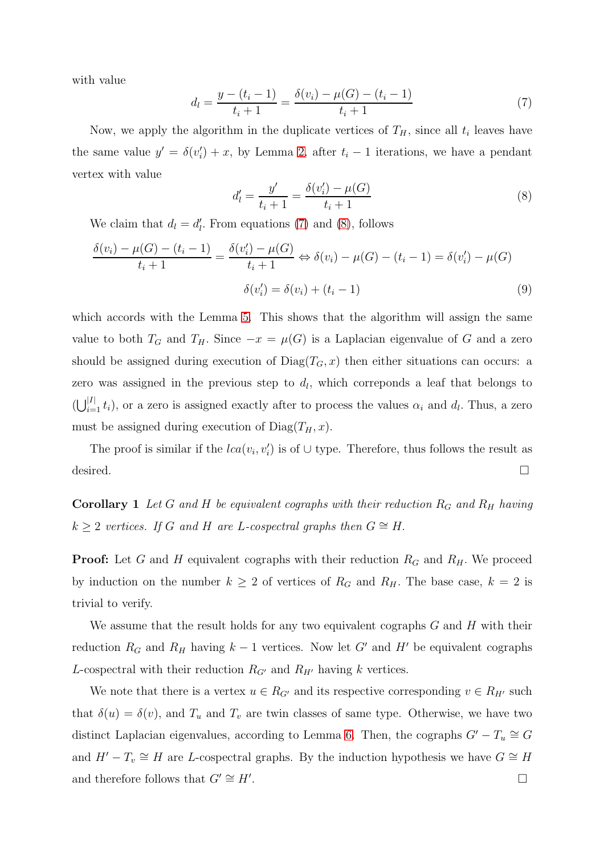with value

<span id="page-10-0"></span>
$$
d_{l} = \frac{y - (t_{i} - 1)}{t_{i} + 1} = \frac{\delta(v_{i}) - \mu(G) - (t_{i} - 1)}{t_{i} + 1}
$$
\n(7)

Now, we apply the algorithm in the duplicate vertices of  $T_H$ , since all  $t_i$  leaves have the same value  $y' = \delta(v_i') + x$ , by Lemma [2,](#page-4-2) after  $t_i - 1$  iterations, we have a pendant vertex with value

<span id="page-10-1"></span>
$$
d'_{l} = \frac{y'}{t_{i} + 1} = \frac{\delta(v'_{i}) - \mu(G)}{t_{i} + 1}
$$
\n(8)

We claim that  $d_l = d'_l$ . From equations [\(7\)](#page-10-0) and [\(8\)](#page-10-1), follows

$$
\frac{\delta(v_i) - \mu(G) - (t_i - 1)}{t_i + 1} = \frac{\delta(v_i') - \mu(G)}{t_i + 1} \Leftrightarrow \delta(v_i) - \mu(G) - (t_i - 1) = \delta(v_i') - \mu(G)
$$
  

$$
\delta(v_i') = \delta(v_i) + (t_i - 1)
$$
 (9)

which accords with the Lemma [5.](#page-7-1) This shows that the algorithm will assign the same value to both  $T_G$  and  $T_H$ . Since  $-x = \mu(G)$  is a Laplacian eigenvalue of G and a zero should be assigned during execution of  $Diag(T<sub>G</sub>, x)$  then either situations can occurs: a zero was assigned in the previous step to  $d_l$ , which correponds a leaf that belongs to  $\left(\bigcup_{i=1}^{|I|} t_i\right)$ , or a zero is assigned exactly after to process the values  $\alpha_i$  and  $d_l$ . Thus, a zero must be assigned during execution of  $Diag(T_H, x)$ .

The proof is similar if the  $lca(v_i, v'_i)$  is of  $\cup$  type. Therefore, thus follows the result as desired.  $\Box$ 

**Corollary 1** Let G and H be equivalent cographs with their reduction  $R_G$  and  $R_H$  having  $k \geq 2$  *vertices.* If G and H are L-cospectral graphs then  $G \cong H$ .

**Proof:** Let G and H equivalent cographs with their reduction  $R_G$  and  $R_H$ . We proceed by induction on the number  $k \geq 2$  of vertices of  $R_G$  and  $R_H$ . The base case,  $k = 2$  is trivial to verify.

We assume that the result holds for any two equivalent cographs  $G$  and  $H$  with their reduction  $R_G$  and  $R_H$  having  $k-1$  vertices. Now let G' and H' be equivalent cographs L-cospectral with their reduction  $R_{G'}$  and  $R_{H'}$  having k vertices.

We note that there is a vertex  $u \in R_{G'}$  and its respective corresponding  $v \in R_{H'}$  such that  $\delta(u) = \delta(v)$ , and  $T_u$  and  $T_v$  are twin classes of same type. Otherwise, we have two distinct Laplacian eigenvalues, according to Lemma [6.](#page-8-0) Then, the cographs  $G' - T_u \cong G$ and  $H' - T_v \cong H$  are L-cospectral graphs. By the induction hypothesis we have  $G \cong H$ and therefore follows that  $G' \cong H'$ . . В последните последните последните последните последните последните последните последните последните последн<br>В последните последните последните последните последните последните последните последните последните последнит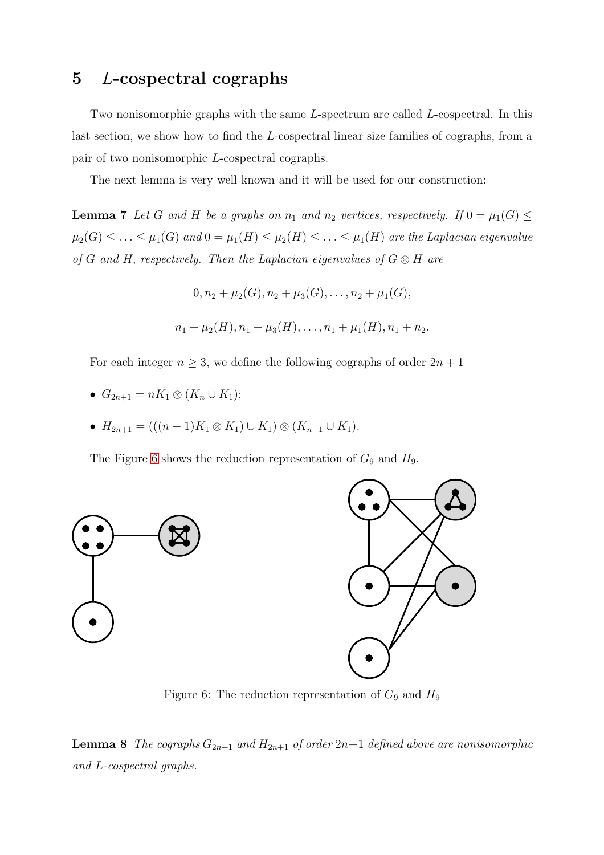# 5 L-cospectral cographs

Two nonisomorphic graphs with the same L-spectrum are called L-cospectral. In this last section, we show how to find the L-cospectral linear size families of cographs, from a pair of two nonisomorphic L-cospectral cographs.

<span id="page-11-1"></span>The next lemma is very well known and it will be used for our construction:

**Lemma 7** Let G and H be a graphs on  $n_1$  and  $n_2$  vertices, respectively. If  $0 = \mu_1(G) \le$  $\mu_2(G) \leq \ldots \leq \mu_1(G)$  and  $0 = \mu_1(H) \leq \mu_2(H) \leq \ldots \leq \mu_1(H)$  are the Laplacian eigenvalue *of* G and H, respectively. Then the Laplacian eigenvalues of  $G \otimes H$  are

> $0, n_2 + \mu_2(G), n_2 + \mu_3(G), \ldots, n_2 + \mu_1(G),$  $n_1 + \mu_2(H), n_1 + \mu_3(H), \ldots, n_1 + \mu_1(H), n_1 + n_2.$

For each integer  $n \geq 3$ , we define the following cographs of order  $2n + 1$ 

- $G_{2n+1} = nK_1 \otimes (K_n \cup K_1);$
- $H_{2n+1} = (((n-1)K_1 \otimes K_1) \cup K_1) \otimes (K_{n-1} \cup K_1).$

The Figure [6](#page-11-0) shows the reduction representation of  $G_9$  and  $H_9$ .



<span id="page-11-0"></span>Figure 6: The reduction representation of  $G_9$  and  $H_9$ 

#### **Lemma 8** *The cographs*  $G_{2n+1}$  *and*  $H_{2n+1}$  *of order*  $2n+1$  *defined above are nonisomorphic and* L*-cospectral graphs.*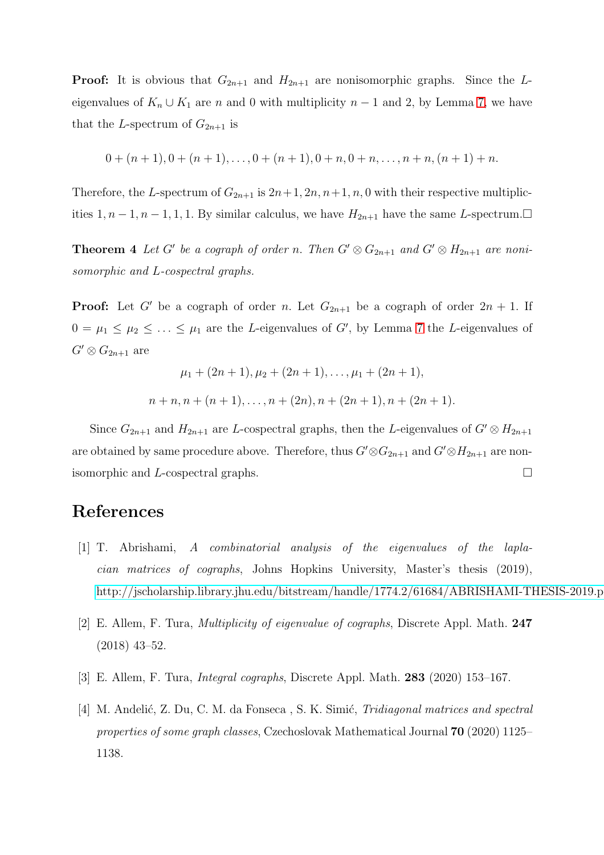**Proof:** It is obvious that  $G_{2n+1}$  and  $H_{2n+1}$  are nonisomorphic graphs. Since the Leigenvalues of  $K_n \cup K_1$  are n and 0 with multiplicity  $n-1$  and 2, by Lemma [7,](#page-11-1) we have that the L-spectrum of  $G_{2n+1}$  is

$$
0+(n+1), 0+(n+1), \ldots, 0+(n+1), 0+n, 0+n, \ldots, n+n, (n+1)+n.
$$

Therefore, the L-spectrum of  $G_{2n+1}$  is  $2n+1, 2n, n+1, n, 0$  with their respective multiplicities 1,  $n-1$ ,  $n-1$ , 1, 1. By similar calculus, we have  $H_{2n+1}$  have the same L-spectrum.□

**Theorem 4** Let G' be a cograph of order n. Then  $G' \otimes G_{2n+1}$  and  $G' \otimes H_{2n+1}$  are noni*somorphic and* L*-cospectral graphs.*

**Proof:** Let G' be a cograph of order n. Let  $G_{2n+1}$  be a cograph of order  $2n + 1$ . If  $0 = \mu_1 \leq \mu_2 \leq \ldots \leq \mu_1$  are the *L*-eigenvalues of G', by Lemma [7](#page-11-1) the *L*-eigenvalues of  $G' \otimes G_{2n+1}$  are

$$
\mu_1 + (2n+1), \mu_2 + (2n+1), \dots, \mu_1 + (2n+1),
$$
  

$$
n + n, n + (n+1), \dots, n + (2n), n + (2n+1), n + (2n+1)
$$

Since  $G_{2n+1}$  and  $H_{2n+1}$  are L-cospectral graphs, then the L-eigenvalues of  $G' \otimes H_{2n+1}$ are obtained by same procedure above. Therefore, thus  $G' \otimes G_{2n+1}$  and  $G' \otimes H_{2n+1}$  are nonisomorphic and *L*-cospectral graphs.  $\square$ 

# <span id="page-12-0"></span>References

- [1] T. Abrishami, *A combinatorial analysis of the eigenvalues of the laplacian matrices of cographs*, Johns Hopkins University, Master's thesis (2019), <http://jscholarship.library.jhu.edu/bitstream/handle/1774.2/61684/ABRISHAMI-THESIS-2019.pdf>
- <span id="page-12-1"></span>[2] E. Allem, F. Tura, *Multiplicity of eigenvalue of cographs*, Discrete Appl. Math. 247 (2018) 43–52.
- [3] E. Allem, F. Tura, *Integral cographs*, Discrete Appl. Math. 283 (2020) 153–167.
- [4] M. Andelić, Z. Du, C. M. da Fonseca, S. K. Simić, *Tridiagonal matrices and spectral properties of some graph classes*, Czechoslovak Mathematical Journal 70 (2020) 1125– 1138.